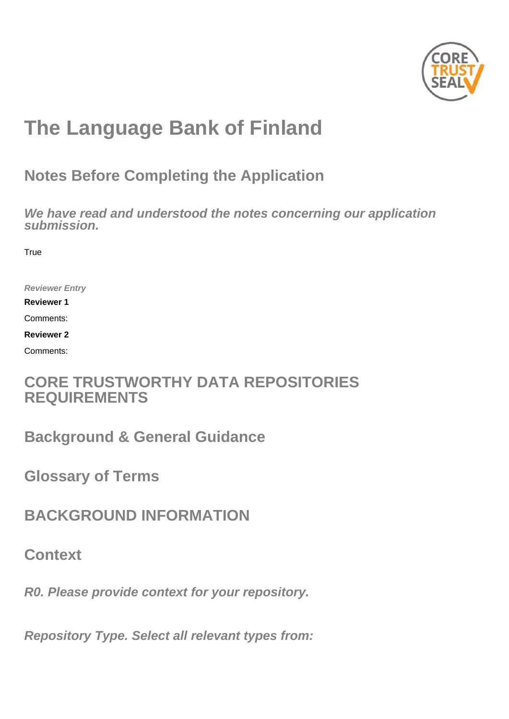

# **The Language Bank of Finland**

# **Notes Before Completing the Application**

**We have read and understood the notes concerning our application submission.**

**True** 

**Reviewer Entry**

**Reviewer 1**

Comments:

**Reviewer 2**

Comments:

## **CORE TRUSTWORTHY DATA REPOSITORIES REQUIREMENTS**

**Background & General Guidance**

**Glossary of Terms**

**BACKGROUND INFORMATION**

**Context**

**R0. Please provide context for your repository.**

**Repository Type. Select all relevant types from:**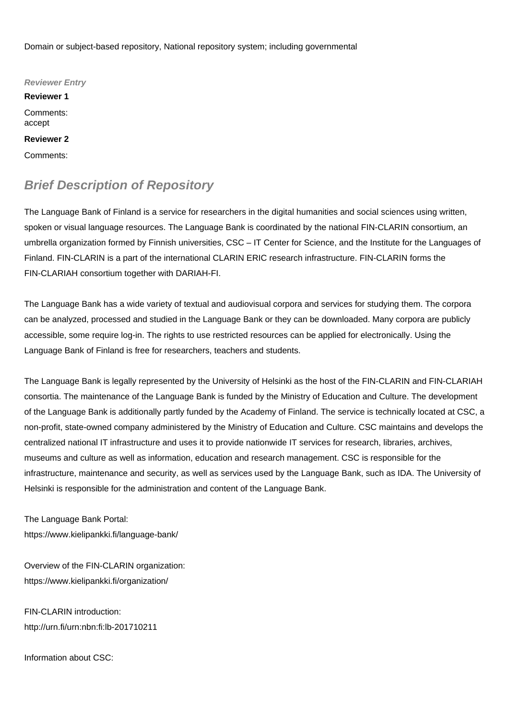Domain or subject-based repository, National repository system; including governmental

**Reviewer Entry Reviewer 1** Comments: accept **Reviewer 2** Comments:

## **Brief Description of Repository**

The Language Bank of Finland is a service for researchers in the digital humanities and social sciences using written, spoken or visual language resources. The Language Bank is coordinated by the national FIN-CLARIN consortium, an umbrella organization formed by Finnish universities, CSC – IT Center for Science, and the Institute for the Languages of Finland. FIN-CLARIN is a part of the international CLARIN ERIC research infrastructure. FIN-CLARIN forms the FIN-CLARIAH consortium together with DARIAH-FI.

The Language Bank has a wide variety of textual and audiovisual corpora and services for studying them. The corpora can be analyzed, processed and studied in the Language Bank or they can be downloaded. Many corpora are publicly accessible, some require log-in. The rights to use restricted resources can be applied for electronically. Using the Language Bank of Finland is free for researchers, teachers and students.

The Language Bank is legally represented by the University of Helsinki as the host of the FIN-CLARIN and FIN-CLARIAH consortia. The maintenance of the Language Bank is funded by the Ministry of Education and Culture. The development of the Language Bank is additionally partly funded by the Academy of Finland. The service is technically located at CSC, a non-profit, state-owned company administered by the Ministry of Education and Culture. CSC maintains and develops the centralized national IT infrastructure and uses it to provide nationwide IT services for research, libraries, archives, museums and culture as well as information, education and research management. CSC is responsible for the infrastructure, maintenance and security, as well as services used by the Language Bank, such as IDA. The University of Helsinki is responsible for the administration and content of the Language Bank.

The Language Bank Portal: <https://www.kielipankki.fi/language-bank/>

Overview of the FIN-CLARIN organization: <https://www.kielipankki.fi/organization/>

FIN-CLARIN introduction: <http://urn.fi/urn:nbn:fi:lb-201710211>

Information about CSC: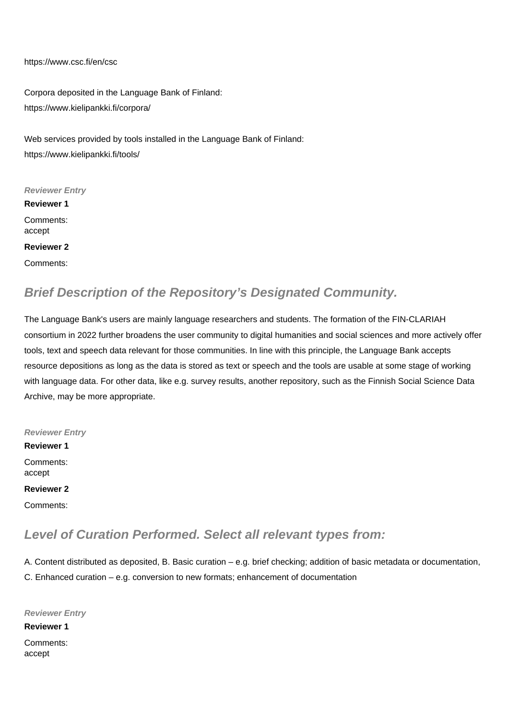#### <https://www.csc.fi/en/csc>

Corpora deposited in the Language Bank of Finland: <https://www.kielipankki.fi/corpora/>

Web services provided by tools installed in the Language Bank of Finland: <https://www.kielipankki.fi/tools/>

**Reviewer Entry Reviewer 1** Comments: accept **Reviewer 2** Comments:

## **Brief Description of the Repository's Designated Community.**

The Language Bank's users are mainly language researchers and students. The formation of the FIN-CLARIAH consortium in 2022 further broadens the user community to digital humanities and social sciences and more actively offer tools, text and speech data relevant for those communities. In line with this principle, the Language Bank accepts resource depositions as long as the data is stored as text or speech and the tools are usable at some stage of working with language data. For other data, like e.g. survey results, another repository, such as the Finnish Social Science Data Archive, may be more appropriate.

**Reviewer Entry Reviewer 1** Comments: accept **Reviewer 2** Comments:

## **Level of Curation Performed. Select all relevant types from:**

A. Content distributed as deposited, B. Basic curation – e.g. brief checking; addition of basic metadata or documentation, C. Enhanced curation – e.g. conversion to new formats; enhancement of documentation

**Reviewer Entry**

**Reviewer 1**

Comments: accept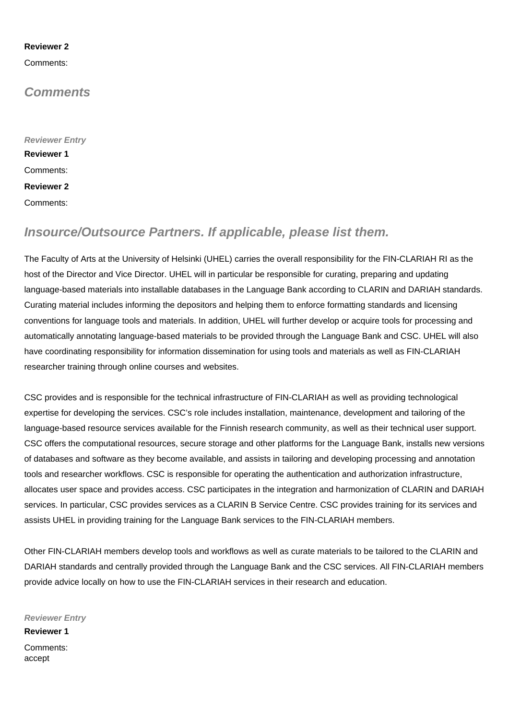### **Reviewer 2**

Comments:

## **Comments**

**Reviewer Entry Reviewer 1** Comments: **Reviewer 2** Comments:

## **Insource/Outsource Partners. If applicable, please list them.**

The Faculty of Arts at the University of Helsinki (UHEL) carries the overall responsibility for the FIN-CLARIAH RI as the host of the Director and Vice Director. UHEL will in particular be responsible for curating, preparing and updating language-based materials into installable databases in the Language Bank according to CLARIN and DARIAH standards. Curating material includes informing the depositors and helping them to enforce formatting standards and licensing conventions for language tools and materials. In addition, UHEL will further develop or acquire tools for processing and automatically annotating language-based materials to be provided through the Language Bank and CSC. UHEL will also have coordinating responsibility for information dissemination for using tools and materials as well as FIN-CLARIAH researcher training through online courses and websites.

CSC provides and is responsible for the technical infrastructure of FIN-CLARIAH as well as providing technological expertise for developing the services. CSC's role includes installation, maintenance, development and tailoring of the language-based resource services available for the Finnish research community, as well as their technical user support. CSC offers the computational resources, secure storage and other platforms for the Language Bank, installs new versions of databases and software as they become available, and assists in tailoring and developing processing and annotation tools and researcher workflows. CSC is responsible for operating the authentication and authorization infrastructure, allocates user space and provides access. CSC participates in the integration and harmonization of CLARIN and DARIAH services. In particular, CSC provides services as a CLARIN B Service Centre. CSC provides training for its services and assists UHEL in providing training for the Language Bank services to the FIN-CLARIAH members.

Other FIN-CLARIAH members develop tools and workflows as well as curate materials to be tailored to the CLARIN and DARIAH standards and centrally provided through the Language Bank and the CSC services. All FIN-CLARIAH members provide advice locally on how to use the FIN-CLARIAH services in their research and education.

**Reviewer Entry Reviewer 1** Comments: accept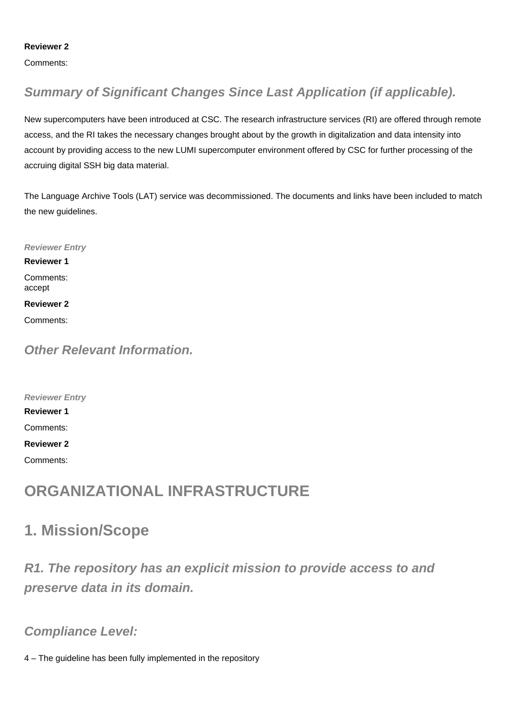### **Reviewer 2**

Comments:

## **Summary of Significant Changes Since Last Application (if applicable).**

New supercomputers have been introduced at CSC. The research infrastructure services (RI) are offered through remote access, and the RI takes the necessary changes brought about by the growth in digitalization and data intensity into account by providing access to the new LUMI supercomputer environment offered by CSC for further processing of the accruing digital SSH big data material.

The Language Archive Tools (LAT) service was decommissioned. The documents and links have been included to match the new guidelines.

**Reviewer Entry Reviewer 1** Comments: accept **Reviewer 2** Comments:

**Other Relevant Information.**

**Reviewer Entry Reviewer 1** Comments: **Reviewer 2** Comments:

# **ORGANIZATIONAL INFRASTRUCTURE**

# **1. Mission/Scope**

**R1. The repository has an explicit mission to provide access to and preserve data in its domain.**

## **Compliance Level:**

4 – The guideline has been fully implemented in the repository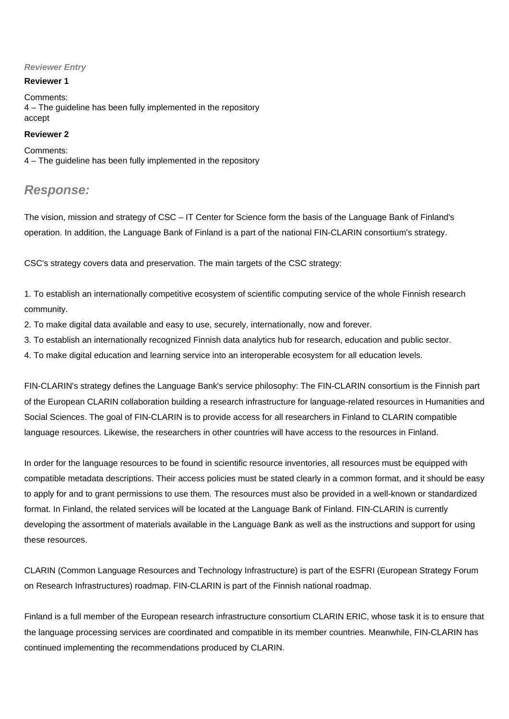#### **Reviewer Entry**

#### **Reviewer 1**

Comments: 4 – The guideline has been fully implemented in the repository accept

#### **Reviewer 2**

Comments: 4 – The guideline has been fully implemented in the repository

### **Response:**

The vision, mission and strategy of CSC – IT Center for Science form the basis of the Language Bank of Finland's operation. In addition, the Language Bank of Finland is a part of the national FIN-CLARIN consortium's strategy.

CSC's strategy covers data and preservation. The main targets of the CSC strategy:

1. To establish an internationally competitive ecosystem of scientific computing service of the whole Finnish research community.

2. To make digital data available and easy to use, securely, internationally, now and forever.

3. To establish an internationally recognized Finnish data analytics hub for research, education and public sector.

4. To make digital education and learning service into an interoperable ecosystem for all education levels.

FIN-CLARIN's strategy defines the Language Bank's service philosophy: The FIN-CLARIN consortium is the Finnish part of the European CLARIN collaboration building a research infrastructure for language-related resources in Humanities and Social Sciences. The goal of FIN-CLARIN is to provide access for all researchers in Finland to CLARIN compatible language resources. Likewise, the researchers in other countries will have access to the resources in Finland.

In order for the language resources to be found in scientific resource inventories, all resources must be equipped with compatible metadata descriptions. Their access policies must be stated clearly in a common format, and it should be easy to apply for and to grant permissions to use them. The resources must also be provided in a well-known or standardized format. In Finland, the related services will be located at the Language Bank of Finland. FIN-CLARIN is currently developing the assortment of materials available in the Language Bank as well as the instructions and support for using these resources.

CLARIN (Common Language Resources and Technology Infrastructure) is part of the ESFRI (European Strategy Forum on Research Infrastructures) roadmap. FIN-CLARIN is part of the Finnish national roadmap.

Finland is a full member of the European research infrastructure consortium CLARIN ERIC, whose task it is to ensure that the language processing services are coordinated and compatible in its member countries. Meanwhile, FIN-CLARIN has continued implementing the recommendations produced by CLARIN.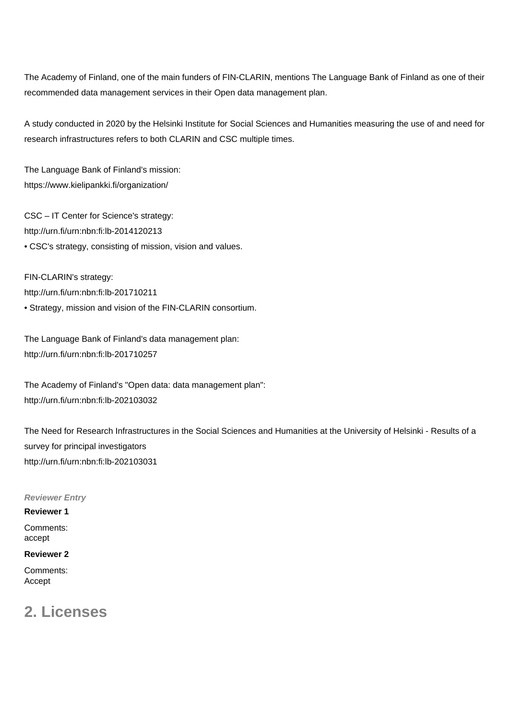The Academy of Finland, one of the main funders of FIN-CLARIN, mentions The Language Bank of Finland as one of their recommended data management services in their Open data management plan.

A study conducted in 2020 by the Helsinki Institute for Social Sciences and Humanities measuring the use of and need for research infrastructures refers to both CLARIN and CSC multiple times.

The Language Bank of Finland's mission: <https://www.kielipankki.fi/organization/>

CSC – IT Center for Science's strategy: <http://urn.fi/urn:nbn:fi:lb-2014120213> • CSC's strategy, consisting of mission, vision and values.

FIN-CLARIN's strategy: <http://urn.fi/urn:nbn:fi:lb-201710211> • Strategy, mission and vision of the FIN-CLARIN consortium.

The Language Bank of Finland's data management plan: <http://urn.fi/urn:nbn:fi:lb-201710257>

The Academy of Finland's "Open data: data management plan": <http://urn.fi/urn:nbn:fi:lb-202103032>

The Need for Research Infrastructures in the Social Sciences and Humanities at the University of Helsinki - Results of a survey for principal investigators <http://urn.fi/urn:nbn:fi:lb-202103031>

**Reviewer Entry**

#### **Reviewer 1**

Comments: accept

#### **Reviewer 2**

Comments: Accept

## **2. Licenses**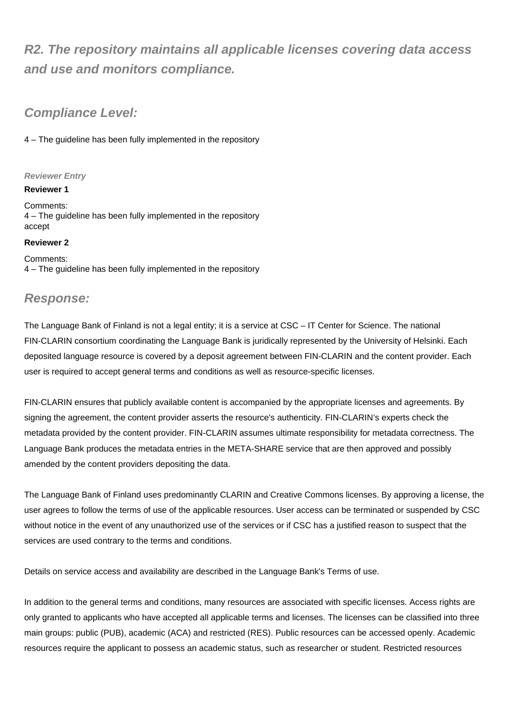## **R2. The repository maintains all applicable licenses covering data access and use and monitors compliance.**

## **Compliance Level:**

4 – The guideline has been fully implemented in the repository

#### **Reviewer Entry**

#### **Reviewer 1**

Comments: 4 – The guideline has been fully implemented in the repository accept

#### **Reviewer 2**

Comments: 4 – The guideline has been fully implemented in the repository

### **Response:**

The Language Bank of Finland is not a legal entity; it is a service at CSC – IT Center for Science. The national FIN-CLARIN consortium coordinating the Language Bank is juridically represented by the University of Helsinki. Each deposited language resource is covered by a deposit agreement between FIN-CLARIN and the content provider. Each user is required to accept general terms and conditions as well as resource-specific licenses.

FIN-CLARIN ensures that publicly available content is accompanied by the appropriate licenses and agreements. By signing the agreement, the content provider asserts the resource's authenticity. FIN-CLARIN's experts check the metadata provided by the content provider. FIN-CLARIN assumes ultimate responsibility for metadata correctness. The Language Bank produces the metadata entries in the META-SHARE service that are then approved and possibly amended by the content providers depositing the data.

The Language Bank of Finland uses predominantly CLARIN and Creative Commons licenses. By approving a license, the user agrees to follow the terms of use of the applicable resources. User access can be terminated or suspended by CSC without notice in the event of any unauthorized use of the services or if CSC has a justified reason to suspect that the services are used contrary to the terms and conditions.

Details on service access and availability are described in the Language Bank's Terms of use.

In addition to the general terms and conditions, many resources are associated with specific licenses. Access rights are only granted to applicants who have accepted all applicable terms and licenses. The licenses can be classified into three main groups: public (PUB), academic (ACA) and restricted (RES). Public resources can be accessed openly. Academic resources require the applicant to possess an academic status, such as researcher or student. Restricted resources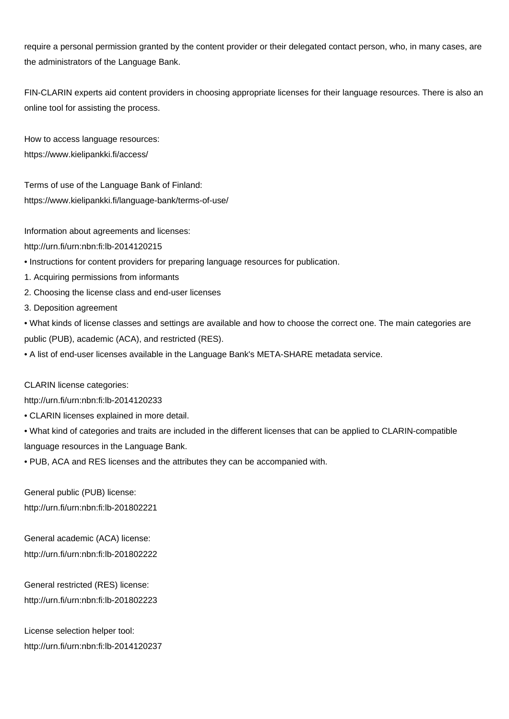require a personal permission granted by the content provider or their delegated contact person, who, in many cases, are the administrators of the Language Bank.

FIN-CLARIN experts aid content providers in choosing appropriate licenses for their language resources. There is also an online tool for assisting the process.

How to access language resources: <https://www.kielipankki.fi/access/>

Terms of use of the Language Bank of Finland: <https://www.kielipankki.fi/language-bank/terms-of-use/>

Information about agreements and licenses:

<http://urn.fi/urn:nbn:fi:lb-2014120215>

- Instructions for content providers for preparing language resources for publication.
- 1. Acquiring permissions from informants
- 2. Choosing the license class and end-user licenses
- 3. Deposition agreement

• What kinds of license classes and settings are available and how to choose the correct one. The main categories are public (PUB), academic (ACA), and restricted (RES).

• A list of end-user licenses available in the Language Bank's META-SHARE metadata service.

CLARIN license categories:

<http://urn.fi/urn:nbn:fi:lb-2014120233>

- CLARIN licenses explained in more detail.
- What kind of categories and traits are included in the different licenses that can be applied to CLARIN-compatible language resources in the Language Bank.
- PUB, ACA and RES licenses and the attributes they can be accompanied with.

General public (PUB) license: <http://urn.fi/urn:nbn:fi:lb-201802221>

General academic (ACA) license: <http://urn.fi/urn:nbn:fi:lb-201802222>

General restricted (RES) license: <http://urn.fi/urn:nbn:fi:lb-201802223>

License selection helper tool: <http://urn.fi/urn:nbn:fi:lb-2014120237>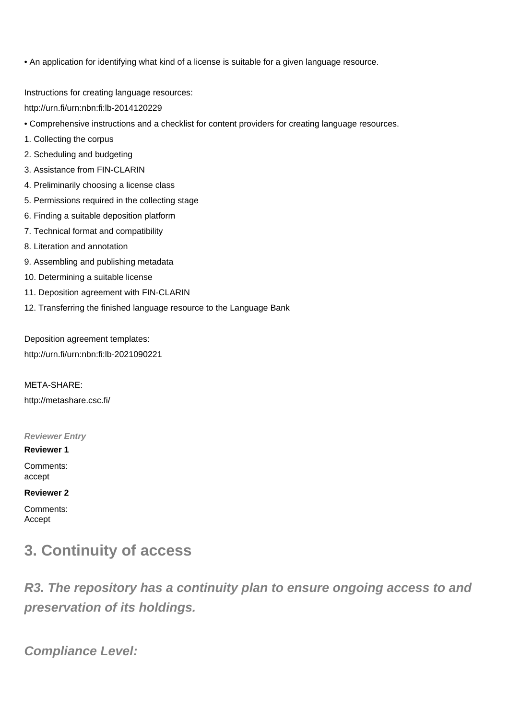• An application for identifying what kind of a license is suitable for a given language resource.

Instructions for creating language resources:

<http://urn.fi/urn:nbn:fi:lb-2014120229>

- Comprehensive instructions and a checklist for content providers for creating language resources.
- 1. Collecting the corpus
- 2. Scheduling and budgeting
- 3. Assistance from FIN-CLARIN
- 4. Preliminarily choosing a license class
- 5. Permissions required in the collecting stage
- 6. Finding a suitable deposition platform
- 7. Technical format and compatibility
- 8. Literation and annotation
- 9. Assembling and publishing metadata
- 10. Determining a suitable license
- 11. Deposition agreement with FIN-CLARIN
- 12. Transferring the finished language resource to the Language Bank

Deposition agreement templates:

<http://urn.fi/urn:nbn:fi:lb-2021090221>

META-SHARE: <http://metashare.csc.fi/>

#### **Reviewer Entry**

#### **Reviewer 1**

Comments: accept

**Reviewer 2**

Comments: Accept

## **3. Continuity of access**

**R3. The repository has a continuity plan to ensure ongoing access to and preservation of its holdings.**

**Compliance Level:**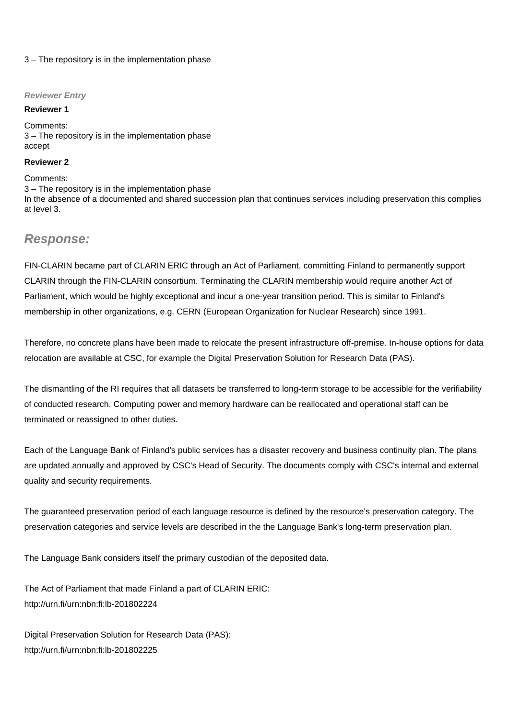#### 3 – The repository is in the implementation phase

#### **Reviewer Entry**

#### **Reviewer 1**

Comments: 3 – The repository is in the implementation phase accept

#### **Reviewer 2**

#### Comments:

3 – The repository is in the implementation phase

In the absence of a documented and shared succession plan that continues services including preservation this complies at level 3.

### **Response:**

FIN-CLARIN became part of CLARIN ERIC through an Act of Parliament, committing Finland to permanently support CLARIN through the FIN-CLARIN consortium. Terminating the CLARIN membership would require another Act of Parliament, which would be highly exceptional and incur a one-year transition period. This is similar to Finland's membership in other organizations, e.g. CERN (European Organization for Nuclear Research) since 1991.

Therefore, no concrete plans have been made to relocate the present infrastructure off-premise. In-house options for data relocation are available at CSC, for example the Digital Preservation Solution for Research Data (PAS).

The dismantling of the RI requires that all datasets be transferred to long-term storage to be accessible for the verifiability of conducted research. Computing power and memory hardware can be reallocated and operational staff can be terminated or reassigned to other duties.

Each of the Language Bank of Finland's public services has a disaster recovery and business continuity plan. The plans are updated annually and approved by CSC's Head of Security. The documents comply with CSC's internal and external quality and security requirements.

The guaranteed preservation period of each language resource is defined by the resource's preservation category. The preservation categories and service levels are described in the the Language Bank's long-term preservation plan.

The Language Bank considers itself the primary custodian of the deposited data.

The Act of Parliament that made Finland a part of CLARIN ERIC: <http://urn.fi/urn:nbn:fi:lb-201802224>

Digital Preservation Solution for Research Data (PAS): <http://urn.fi/urn:nbn:fi:lb-201802225>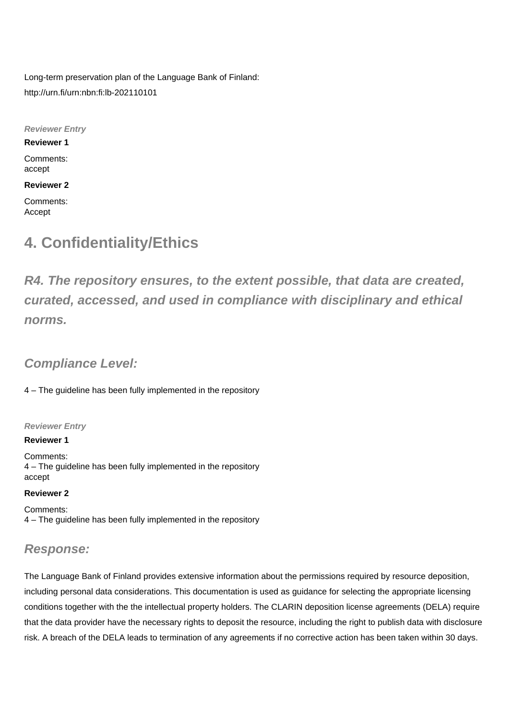Long-term preservation plan of the Language Bank of Finland: <http://urn.fi/urn:nbn:fi:lb-202110101>

**Reviewer Entry Reviewer 1** Comments: accept **Reviewer 2** Comments:

Accept

# **4. Confidentiality/Ethics**

**R4. The repository ensures, to the extent possible, that data are created, curated, accessed, and used in compliance with disciplinary and ethical norms.**

## **Compliance Level:**

4 – The guideline has been fully implemented in the repository

**Reviewer Entry**

**Reviewer 1**

Comments: 4 – The guideline has been fully implemented in the repository accept

**Reviewer 2**

Comments: 4 – The guideline has been fully implemented in the repository

## **Response:**

The Language Bank of Finland provides extensive information about the permissions required by resource deposition, including personal data considerations. This documentation is used as guidance for selecting the appropriate licensing conditions together with the the intellectual property holders. The CLARIN deposition license agreements (DELA) require that the data provider have the necessary rights to deposit the resource, including the right to publish data with disclosure risk. A breach of the DELA leads to termination of any agreements if no corrective action has been taken within 30 days.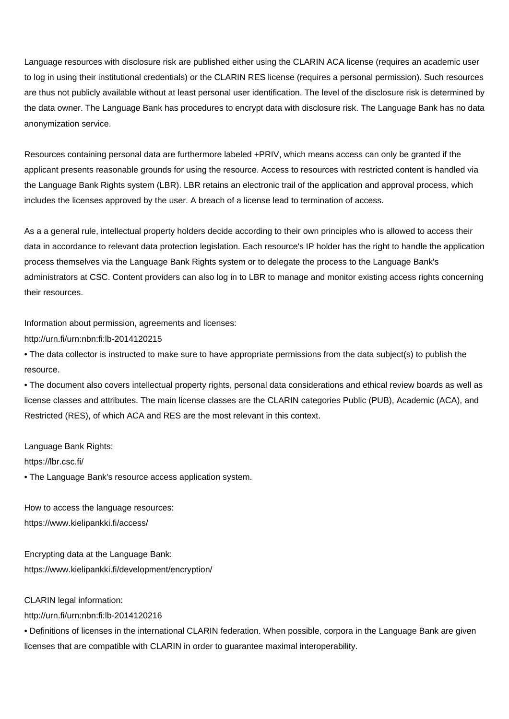Language resources with disclosure risk are published either using the CLARIN ACA license (requires an academic user to log in using their institutional credentials) or the CLARIN RES license (requires a personal permission). Such resources are thus not publicly available without at least personal user identification. The level of the disclosure risk is determined by the data owner. The Language Bank has procedures to encrypt data with disclosure risk. The Language Bank has no data anonymization service.

Resources containing personal data are furthermore labeled +PRIV, which means access can only be granted if the applicant presents reasonable grounds for using the resource. Access to resources with restricted content is handled via the Language Bank Rights system (LBR). LBR retains an electronic trail of the application and approval process, which includes the licenses approved by the user. A breach of a license lead to termination of access.

As a a general rule, intellectual property holders decide according to their own principles who is allowed to access their data in accordance to relevant data protection legislation. Each resource's IP holder has the right to handle the application process themselves via the Language Bank Rights system or to delegate the process to the Language Bank's administrators at CSC. Content providers can also log in to LBR to manage and monitor existing access rights concerning their resources.

Information about permission, agreements and licenses: <http://urn.fi/urn:nbn:fi:lb-2014120215>

• The data collector is instructed to make sure to have appropriate permissions from the data subject(s) to publish the resource.

• The document also covers intellectual property rights, personal data considerations and ethical review boards as well as license classes and attributes. The main license classes are the CLARIN categories Public (PUB), Academic (ACA), and Restricted (RES), of which ACA and RES are the most relevant in this context.

Language Bank Rights:

<https://lbr.csc.fi/>

• The Language Bank's resource access application system.

How to access the language resources: <https://www.kielipankki.fi/access/>

Encrypting data at the Language Bank: <https://www.kielipankki.fi/development/encryption/>

CLARIN legal information:

<http://urn.fi/urn:nbn:fi:lb-2014120216>

• Definitions of licenses in the international CLARIN federation. When possible, corpora in the Language Bank are given licenses that are compatible with CLARIN in order to guarantee maximal interoperability.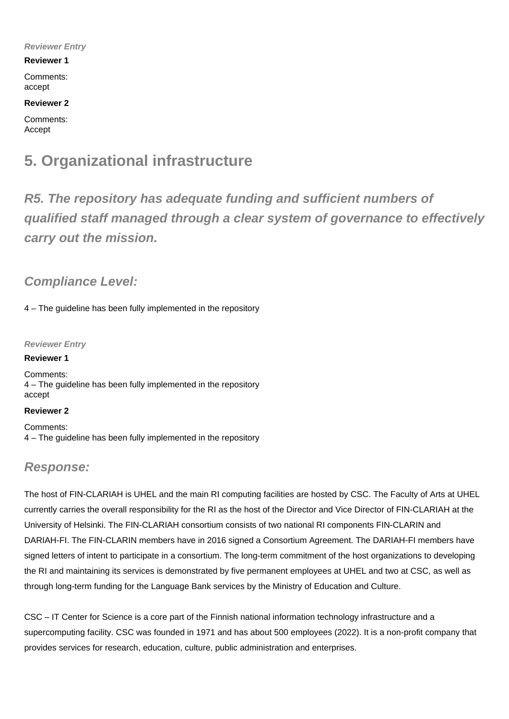#### **Reviewer Entry**

### **Reviewer 1**

Comments: accept

**Reviewer 2**

Comments: Accept

## **5. Organizational infrastructure**

**R5. The repository has adequate funding and sufficient numbers of qualified staff managed through a clear system of governance to effectively carry out the mission.**

**Compliance Level:**

4 – The guideline has been fully implemented in the repository

**Reviewer Entry**

Comments: 4 – The guideline has been fully implemented in the repository accept

#### **Reviewer 2**

**Reviewer 1**

Comments: 4 – The guideline has been fully implemented in the repository

### **Response:**

The host of FIN-CLARIAH is UHEL and the main RI computing facilities are hosted by CSC. The Faculty of Arts at UHEL currently carries the overall responsibility for the RI as the host of the Director and Vice Director of FIN-CLARIAH at the University of Helsinki. The FIN-CLARIAH consortium consists of two national RI components FIN-CLARIN and DARIAH-FI. The FIN-CLARIN members have in 2016 signed a Consortium Agreement. The DARIAH-FI members have signed letters of intent to participate in a consortium. The long-term commitment of the host organizations to developing the RI and maintaining its services is demonstrated by five permanent employees at UHEL and two at CSC, as well as through long-term funding for the Language Bank services by the Ministry of Education and Culture.

CSC – IT Center for Science is a core part of the Finnish national information technology infrastructure and a supercomputing facility. CSC was founded in 1971 and has about 500 employees (2022). It is a non-profit company that provides services for research, education, culture, public administration and enterprises.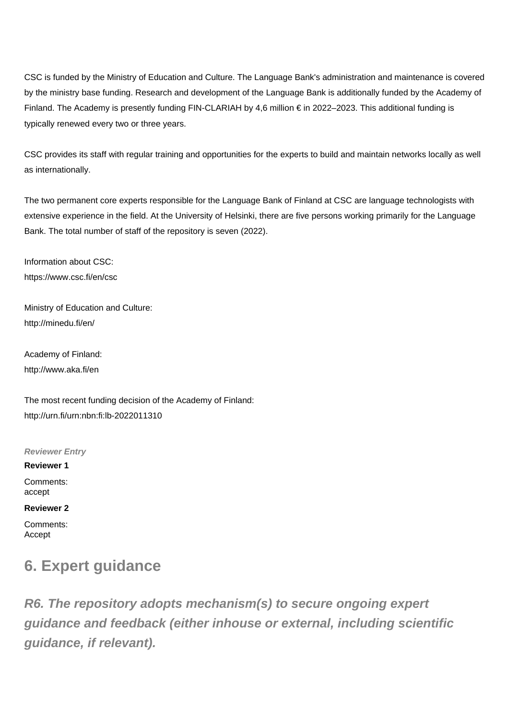CSC is funded by the Ministry of Education and Culture. The Language Bank's administration and maintenance is covered by the ministry base funding. Research and development of the Language Bank is additionally funded by the Academy of Finland. The Academy is presently funding FIN-CLARIAH by 4,6 million € in 2022–2023. This additional funding is typically renewed every two or three years.

CSC provides its staff with regular training and opportunities for the experts to build and maintain networks locally as well as internationally.

The two permanent core experts responsible for the Language Bank of Finland at CSC are language technologists with extensive experience in the field. At the University of Helsinki, there are five persons working primarily for the Language Bank. The total number of staff of the repository is seven (2022).

Information about CSC: <https://www.csc.fi/en/csc>

Ministry of Education and Culture: <http://minedu.fi/en/>

Academy of Finland: <http://www.aka.fi/en>

The most recent funding decision of the Academy of Finland: <http://urn.fi/urn:nbn:fi:lb-2022011310>

#### **Reviewer Entry**

**Reviewer 1**

Comments: accept

#### **Reviewer 2**

Comments: Accept

# **6. Expert guidance**

**R6. The repository adopts mechanism(s) to secure ongoing expert guidance and feedback (either inhouse or external, including scientific guidance, if relevant).**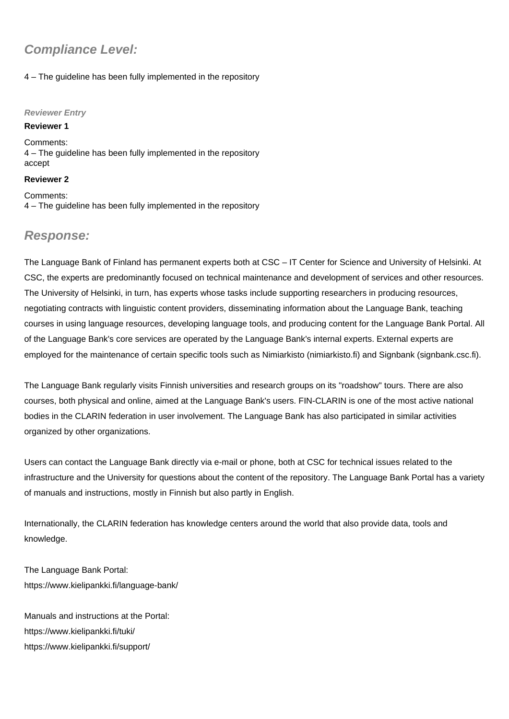## **Compliance Level:**

#### 4 – The guideline has been fully implemented in the repository

#### **Reviewer Entry**

#### **Reviewer 1**

Comments: 4 – The guideline has been fully implemented in the repository accept

### **Reviewer 2**

Comments: 4 – The guideline has been fully implemented in the repository

### **Response:**

The Language Bank of Finland has permanent experts both at CSC – IT Center for Science and University of Helsinki. At CSC, the experts are predominantly focused on technical maintenance and development of services and other resources. The University of Helsinki, in turn, has experts whose tasks include supporting researchers in producing resources, negotiating contracts with linguistic content providers, disseminating information about the Language Bank, teaching courses in using language resources, developing language tools, and producing content for the Language Bank Portal. All of the Language Bank's core services are operated by the Language Bank's internal experts. External experts are employed for the maintenance of certain specific tools such as Nimiarkisto (nimiarkisto.fi) and Signbank (signbank.csc.fi).

The Language Bank regularly visits Finnish universities and research groups on its "roadshow" tours. There are also courses, both physical and online, aimed at the Language Bank's users. FIN-CLARIN is one of the most active national bodies in the CLARIN federation in user involvement. The Language Bank has also participated in similar activities organized by other organizations.

Users can contact the Language Bank directly via e-mail or phone, both at CSC for technical issues related to the infrastructure and the University for questions about the content of the repository. The Language Bank Portal has a variety of manuals and instructions, mostly in Finnish but also partly in English.

Internationally, the CLARIN federation has knowledge centers around the world that also provide data, tools and knowledge.

The Language Bank Portal: <https://www.kielipankki.fi/language-bank/>

Manuals and instructions at the Portal: <https://www.kielipankki.fi/tuki/> <https://www.kielipankki.fi/support/>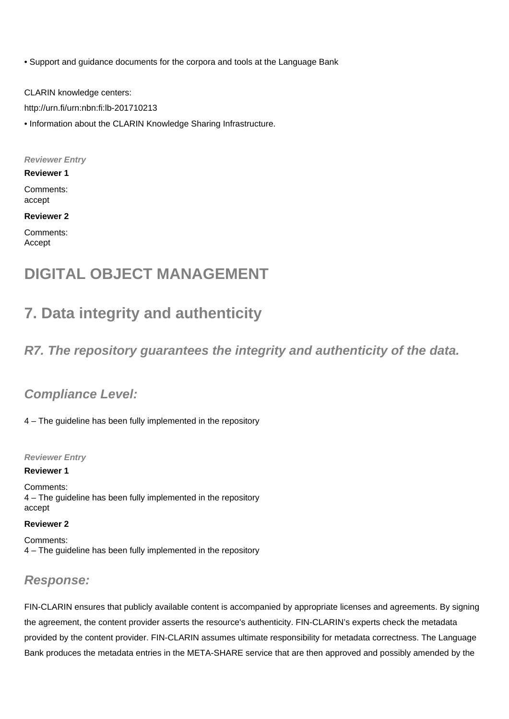• Support and guidance documents for the corpora and tools at the Language Bank

CLARIN knowledge centers:

<http://urn.fi/urn:nbn:fi:lb-201710213>

• Information about the CLARIN Knowledge Sharing Infrastructure.

**Reviewer Entry**

**Reviewer 1**

Comments: accept

**Reviewer 2**

Comments: Accept

# **DIGITAL OBJECT MANAGEMENT**

# **7. Data integrity and authenticity**

**R7. The repository guarantees the integrity and authenticity of the data.**

## **Compliance Level:**

4 – The guideline has been fully implemented in the repository

**Reviewer Entry**

#### **Reviewer 1**

Comments: 4 – The guideline has been fully implemented in the repository accept

#### **Reviewer 2**

Comments: 4 – The guideline has been fully implemented in the repository

## **Response:**

FIN-CLARIN ensures that publicly available content is accompanied by appropriate licenses and agreements. By signing the agreement, the content provider asserts the resource's authenticity. FIN-CLARIN's experts check the metadata provided by the content provider. FIN-CLARIN assumes ultimate responsibility for metadata correctness. The Language Bank produces the metadata entries in the META-SHARE service that are then approved and possibly amended by the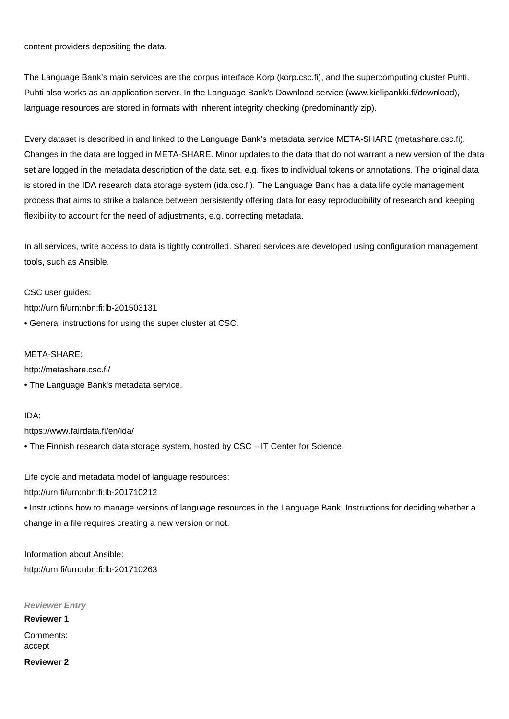content providers depositing the data.

The Language Bank's main services are the corpus interface Korp (korp.csc.fi), and the supercomputing cluster Puhti. Puhti also works as an application server. In the Language Bank's Download service (www.kielipankki.fi/download), language resources are stored in formats with inherent integrity checking (predominantly zip).

Every dataset is described in and linked to the Language Bank's metadata service META-SHARE (metashare.csc.fi). Changes in the data are logged in META-SHARE. Minor updates to the data that do not warrant a new version of the data set are logged in the metadata description of the data set, e.g. fixes to individual tokens or annotations. The original data is stored in the IDA research data storage system (ida.csc.fi). The Language Bank has a data life cycle management process that aims to strike a balance between persistently offering data for easy reproducibility of research and keeping flexibility to account for the need of adjustments, e.g. correcting metadata.

In all services, write access to data is tightly controlled. Shared services are developed using configuration management tools, such as Ansible.

CSC user guides:

<http://urn.fi/urn:nbn:fi:lb-201503131>

• General instructions for using the super cluster at CSC.

#### META-SHARE:

<http://metashare.csc.fi/>

• The Language Bank's metadata service.

#### IDA:

<https://www.fairdata.fi/en/ida/>

• The Finnish research data storage system, hosted by CSC – IT Center for Science.

Life cycle and metadata model of language resources:

<http://urn.fi/urn:nbn:fi:lb-201710212>

• Instructions how to manage versions of language resources in the Language Bank. Instructions for deciding whether a change in a file requires creating a new version or not.

Information about Ansible: <http://urn.fi/urn:nbn:fi:lb-201710263>

**Reviewer Entry Reviewer 1** Comments: accept **Reviewer 2**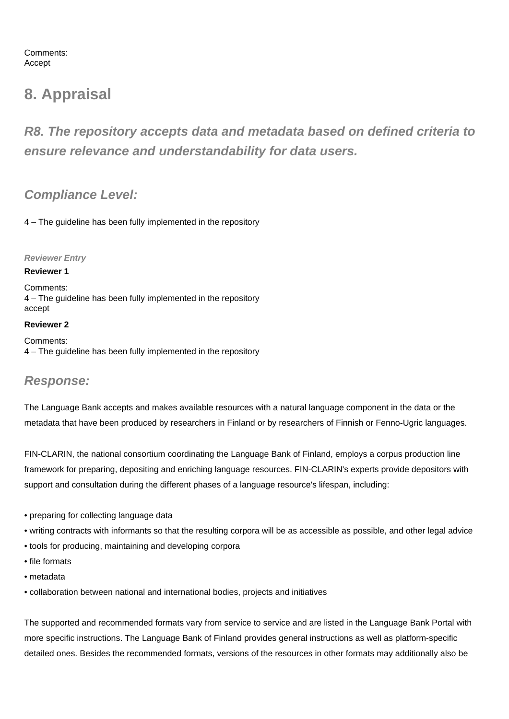Comments: Accept

## **8. Appraisal**

**R8. The repository accepts data and metadata based on defined criteria to ensure relevance and understandability for data users.**

## **Compliance Level:**

4 – The guideline has been fully implemented in the repository

#### **Reviewer Entry**

**Reviewer 1**

Comments: 4 – The guideline has been fully implemented in the repository accept

#### **Reviewer 2**

Comments: 4 – The guideline has been fully implemented in the repository

### **Response:**

The Language Bank accepts and makes available resources with a natural language component in the data or the metadata that have been produced by researchers in Finland or by researchers of Finnish or Fenno-Ugric languages.

FIN-CLARIN, the national consortium coordinating the Language Bank of Finland, employs a corpus production line framework for preparing, depositing and enriching language resources. FIN-CLARIN's experts provide depositors with support and consultation during the different phases of a language resource's lifespan, including:

- preparing for collecting language data
- writing contracts with informants so that the resulting corpora will be as accessible as possible, and other legal advice
- tools for producing, maintaining and developing corpora
- file formats
- metadata
- collaboration between national and international bodies, projects and initiatives

The supported and recommended formats vary from service to service and are listed in the Language Bank Portal with more specific instructions. The Language Bank of Finland provides general instructions as well as platform-specific detailed ones. Besides the recommended formats, versions of the resources in other formats may additionally also be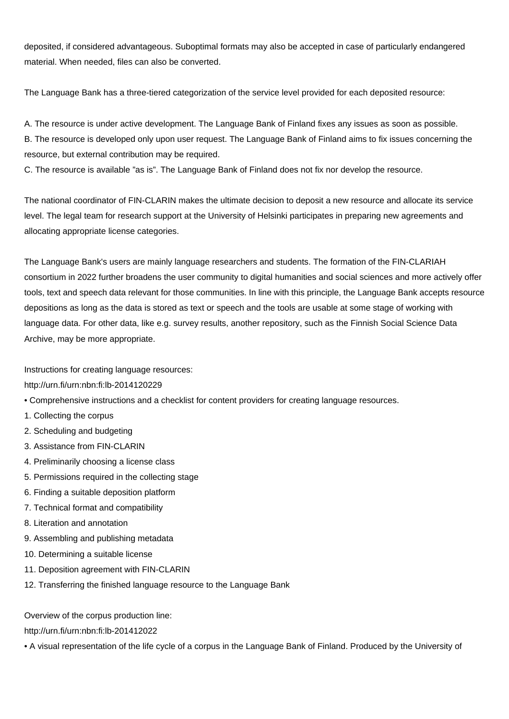deposited, if considered advantageous. Suboptimal formats may also be accepted in case of particularly endangered material. When needed, files can also be converted.

The Language Bank has a three-tiered categorization of the service level provided for each deposited resource:

A. The resource is under active development. The Language Bank of Finland fixes any issues as soon as possible.

B. The resource is developed only upon user request. The Language Bank of Finland aims to fix issues concerning the resource, but external contribution may be required.

C. The resource is available "as is". The Language Bank of Finland does not fix nor develop the resource.

The national coordinator of FIN-CLARIN makes the ultimate decision to deposit a new resource and allocate its service level. The legal team for research support at the University of Helsinki participates in preparing new agreements and allocating appropriate license categories.

The Language Bank's users are mainly language researchers and students. The formation of the FIN-CLARIAH consortium in 2022 further broadens the user community to digital humanities and social sciences and more actively offer tools, text and speech data relevant for those communities. In line with this principle, the Language Bank accepts resource depositions as long as the data is stored as text or speech and the tools are usable at some stage of working with language data. For other data, like e.g. survey results, another repository, such as the Finnish Social Science Data Archive, may be more appropriate.

Instructions for creating language resources:

#### <http://urn.fi/urn:nbn:fi:lb-2014120229>

- Comprehensive instructions and a checklist for content providers for creating language resources.
- 1. Collecting the corpus
- 2. Scheduling and budgeting
- 3. Assistance from FIN-CLARIN
- 4. Preliminarily choosing a license class
- 5. Permissions required in the collecting stage
- 6. Finding a suitable deposition platform
- 7. Technical format and compatibility
- 8. Literation and annotation
- 9. Assembling and publishing metadata
- 10. Determining a suitable license
- 11. Deposition agreement with FIN-CLARIN
- 12. Transferring the finished language resource to the Language Bank

Overview of the corpus production line:

#### <http://urn.fi/urn:nbn:fi:lb-201412022>

• A visual representation of the life cycle of a corpus in the Language Bank of Finland. Produced by the University of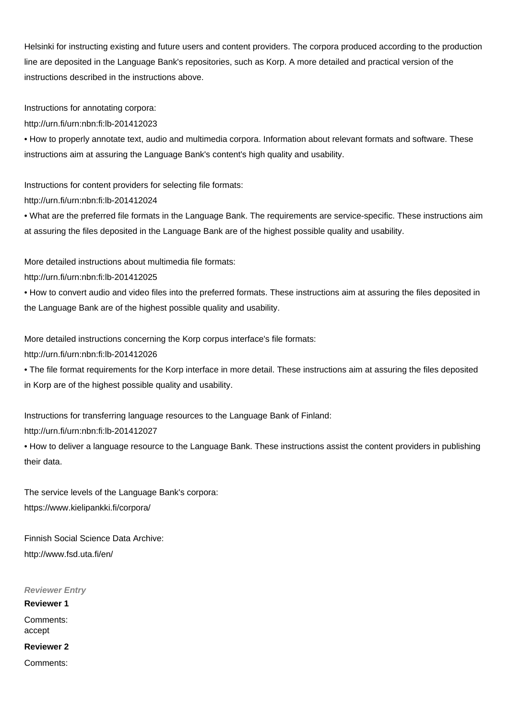Helsinki for instructing existing and future users and content providers. The corpora produced according to the production line are deposited in the Language Bank's repositories, such as Korp. A more detailed and practical version of the instructions described in the instructions above.

Instructions for annotating corpora:

<http://urn.fi/urn:nbn:fi:lb-201412023>

• How to properly annotate text, audio and multimedia corpora. Information about relevant formats and software. These instructions aim at assuring the Language Bank's content's high quality and usability.

Instructions for content providers for selecting file formats:

<http://urn.fi/urn:nbn:fi:lb-201412024>

• What are the preferred file formats in the Language Bank. The requirements are service-specific. These instructions aim at assuring the files deposited in the Language Bank are of the highest possible quality and usability.

More detailed instructions about multimedia file formats:

<http://urn.fi/urn:nbn:fi:lb-201412025>

• How to convert audio and video files into the preferred formats. These instructions aim at assuring the files deposited in the Language Bank are of the highest possible quality and usability.

More detailed instructions concerning the Korp corpus interface's file formats: <http://urn.fi/urn:nbn:fi:lb-201412026>

• The file format requirements for the Korp interface in more detail. These instructions aim at assuring the files deposited in Korp are of the highest possible quality and usability.

Instructions for transferring language resources to the Language Bank of Finland:

<http://urn.fi/urn:nbn:fi:lb-201412027>

• How to deliver a language resource to the Language Bank. These instructions assist the content providers in publishing their data.

The service levels of the Language Bank's corpora: <https://www.kielipankki.fi/corpora/>

Finnish Social Science Data Archive: <http://www.fsd.uta.fi/en/>

#### **Reviewer Entry**

**Reviewer 1** Comments: accept

**Reviewer 2**

Comments: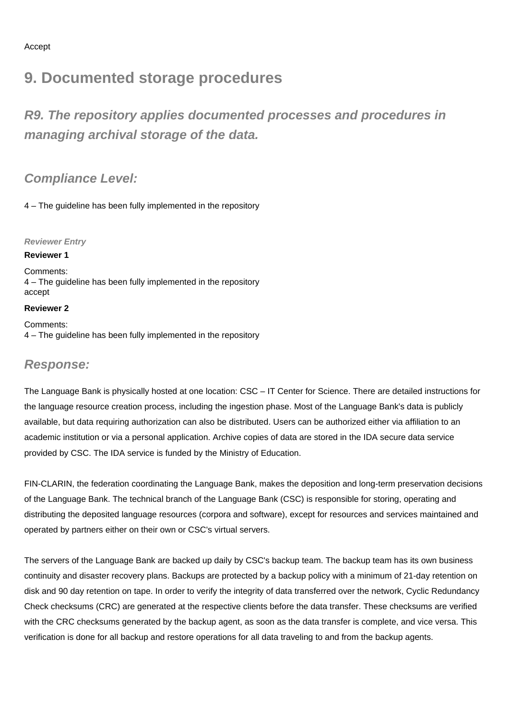# **9. Documented storage procedures**

**R9. The repository applies documented processes and procedures in managing archival storage of the data.**

## **Compliance Level:**

4 – The guideline has been fully implemented in the repository

#### **Reviewer Entry**

#### **Reviewer 1**

Comments: 4 – The guideline has been fully implemented in the repository accept

#### **Reviewer 2**

Comments: 4 – The guideline has been fully implemented in the repository

### **Response:**

The Language Bank is physically hosted at one location: CSC – IT Center for Science. There are detailed instructions for the language resource creation process, including the ingestion phase. Most of the Language Bank's data is publicly available, but data requiring authorization can also be distributed. Users can be authorized either via affiliation to an academic institution or via a personal application. Archive copies of data are stored in the IDA secure data service provided by CSC. The IDA service is funded by the Ministry of Education.

FIN-CLARIN, the federation coordinating the Language Bank, makes the deposition and long-term preservation decisions of the Language Bank. The technical branch of the Language Bank (CSC) is responsible for storing, operating and distributing the deposited language resources (corpora and software), except for resources and services maintained and operated by partners either on their own or CSC's virtual servers.

The servers of the Language Bank are backed up daily by CSC's backup team. The backup team has its own business continuity and disaster recovery plans. Backups are protected by a backup policy with a minimum of 21-day retention on disk and 90 day retention on tape. In order to verify the integrity of data transferred over the network, Cyclic Redundancy Check checksums (CRC) are generated at the respective clients before the data transfer. These checksums are verified with the CRC checksums generated by the backup agent, as soon as the data transfer is complete, and vice versa. This verification is done for all backup and restore operations for all data traveling to and from the backup agents.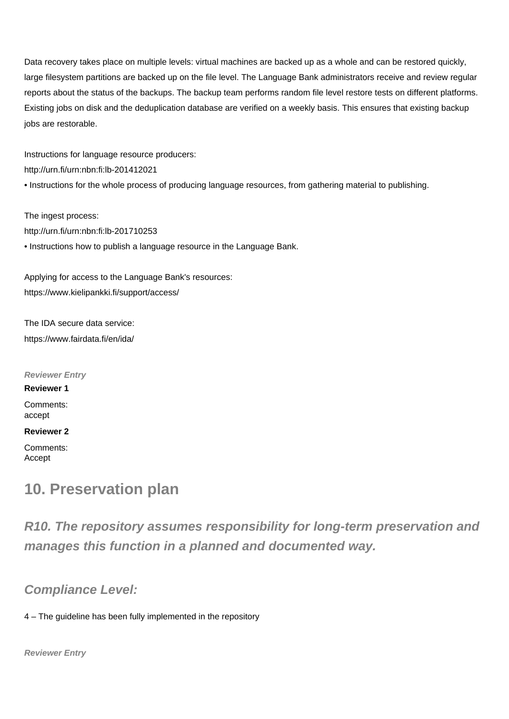Data recovery takes place on multiple levels: virtual machines are backed up as a whole and can be restored quickly, large filesystem partitions are backed up on the file level. The Language Bank administrators receive and review regular reports about the status of the backups. The backup team performs random file level restore tests on different platforms. Existing jobs on disk and the deduplication database are verified on a weekly basis. This ensures that existing backup jobs are restorable.

Instructions for language resource producers: <http://urn.fi/urn:nbn:fi:lb-201412021> • Instructions for the whole process of producing language resources, from gathering material to publishing.

The ingest process: <http://urn.fi/urn:nbn:fi:lb-201710253> • Instructions how to publish a language resource in the Language Bank.

Applying for access to the Language Bank's resources: <https://www.kielipankki.fi/support/access/>

The IDA secure data service: <https://www.fairdata.fi/en/ida/>

**Reviewer Entry**

#### **Reviewer 1**

Comments: accept

#### **Reviewer 2**

Comments: Accept

# **10. Preservation plan**

**R10. The repository assumes responsibility for long-term preservation and manages this function in a planned and documented way.**

## **Compliance Level:**

4 – The guideline has been fully implemented in the repository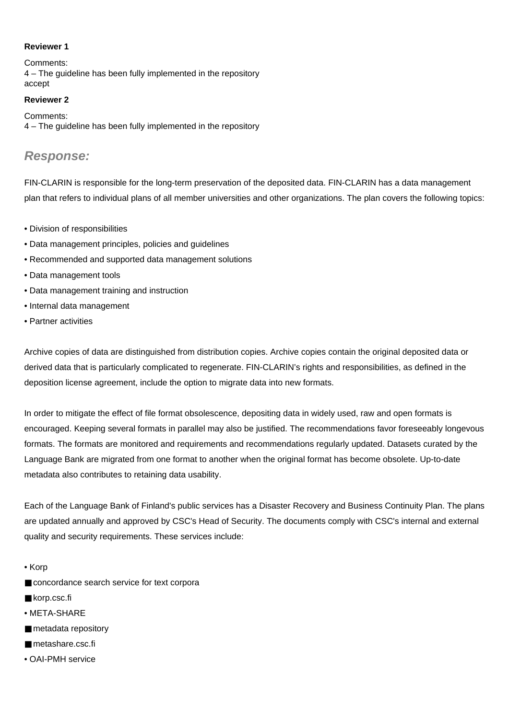#### **Reviewer 1**

Comments: 4 – The guideline has been fully implemented in the repository accept

#### **Reviewer 2**

Comments: 4 – The guideline has been fully implemented in the repository

### **Response:**

FIN-CLARIN is responsible for the long-term preservation of the deposited data. FIN-CLARIN has a data management plan that refers to individual plans of all member universities and other organizations. The plan covers the following topics:

- Division of responsibilities
- Data management principles, policies and guidelines
- Recommended and supported data management solutions
- Data management tools
- Data management training and instruction
- Internal data management
- Partner activities

Archive copies of data are distinguished from distribution copies. Archive copies contain the original deposited data or derived data that is particularly complicated to regenerate. FIN-CLARIN's rights and responsibilities, as defined in the deposition license agreement, include the option to migrate data into new formats.

In order to mitigate the effect of file format obsolescence, depositing data in widely used, raw and open formats is encouraged. Keeping several formats in parallel may also be justified. The recommendations favor foreseeably longevous formats. The formats are monitored and requirements and recommendations regularly updated. Datasets curated by the Language Bank are migrated from one format to another when the original format has become obsolete. Up-to-date metadata also contributes to retaining data usability.

Each of the Language Bank of Finland's public services has a Disaster Recovery and Business Continuity Plan. The plans are updated annually and approved by CSC's Head of Security. The documents comply with CSC's internal and external quality and security requirements. These services include:

- Korp
- concordance search service for text corpora
- korp.csc.fi
- META-SHARE
- metadata repository
- metashare.csc.fi
- OAI-PMH service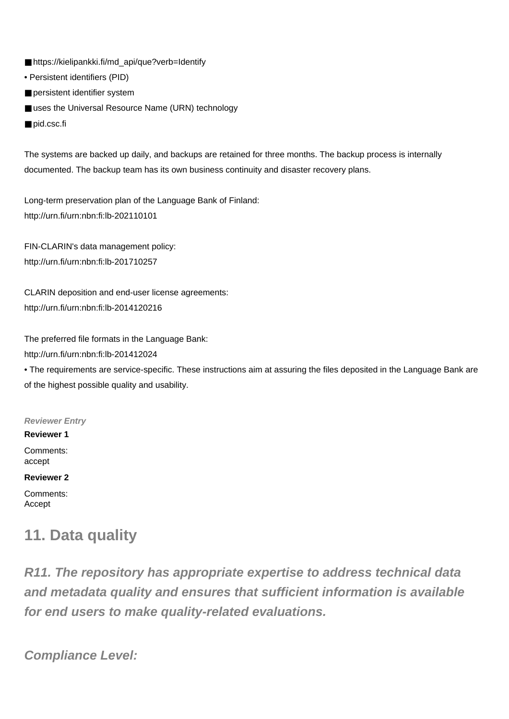- [https://kielipankki.fi/md\\_api/que?verb=Identify](https://kielipankki.fi/md_api/que?verb=Identify)
- Persistent identifiers (PID)
- persistent identifier system
- uses the Universal Resource Name (URN) technology
- pid.csc.fi

The systems are backed up daily, and backups are retained for three months. The backup process is internally documented. The backup team has its own business continuity and disaster recovery plans.

Long-term preservation plan of the Language Bank of Finland: <http://urn.fi/urn:nbn:fi:lb-202110101>

FIN-CLARIN's data management policy: <http://urn.fi/urn:nbn:fi:lb-201710257>

CLARIN deposition and end-user license agreements: <http://urn.fi/urn:nbn:fi:lb-2014120216>

The preferred file formats in the Language Bank:

<http://urn.fi/urn:nbn:fi:lb-201412024>

• The requirements are service-specific. These instructions aim at assuring the files deposited in the Language Bank are of the highest possible quality and usability.

#### **Reviewer Entry**

**Reviewer 1**

Comments: accept

#### **Reviewer 2**

Comments: Accept

## **11. Data quality**

**R11. The repository has appropriate expertise to address technical data and metadata quality and ensures that sufficient information is available for end users to make quality-related evaluations.**

**Compliance Level:**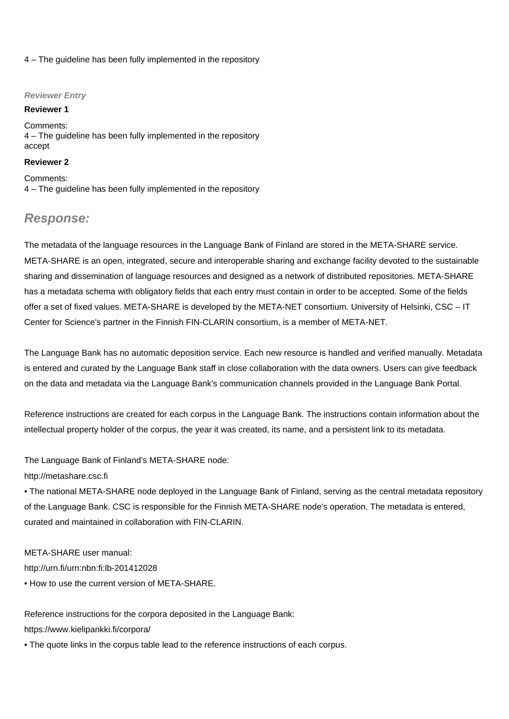#### 4 – The guideline has been fully implemented in the repository

#### **Reviewer Entry**

#### **Reviewer 1**

Comments: 4 – The guideline has been fully implemented in the repository accept

#### **Reviewer 2**

Comments: 4 – The guideline has been fully implemented in the repository

### **Response:**

The metadata of the language resources in the Language Bank of Finland are stored in the META-SHARE service. META-SHARE is an open, integrated, secure and interoperable sharing and exchange facility devoted to the sustainable sharing and dissemination of language resources and designed as a network of distributed repositories. META-SHARE has a metadata schema with obligatory fields that each entry must contain in order to be accepted. Some of the fields offer a set of fixed values. META-SHARE is developed by the META-NET consortium. University of Helsinki, CSC – IT Center for Science's partner in the Finnish FIN-CLARIN consortium, is a member of META-NET.

The Language Bank has no automatic deposition service. Each new resource is handled and verified manually. Metadata is entered and curated by the Language Bank staff in close collaboration with the data owners. Users can give feedback on the data and metadata via the Language Bank's communication channels provided in the Language Bank Portal.

Reference instructions are created for each corpus in the Language Bank. The instructions contain information about the intellectual property holder of the corpus, the year it was created, its name, and a persistent link to its metadata.

The Language Bank of Finland's META-SHARE node:

<http://metashare.csc.fi>

• The national META-SHARE node deployed in the Language Bank of Finland, serving as the central metadata repository of the Language Bank. CSC is responsible for the Finnish META-SHARE node's operation. The metadata is entered, curated and maintained in collaboration with FIN-CLARIN.

#### META-SHARE user manual:

<http://urn.fi/urn:nbn:fi:lb-201412028>

• How to use the current version of META-SHARE.

Reference instructions for the corpora deposited in the Language Bank:

<https://www.kielipankki.fi/corpora/>

• The quote links in the corpus table lead to the reference instructions of each corpus.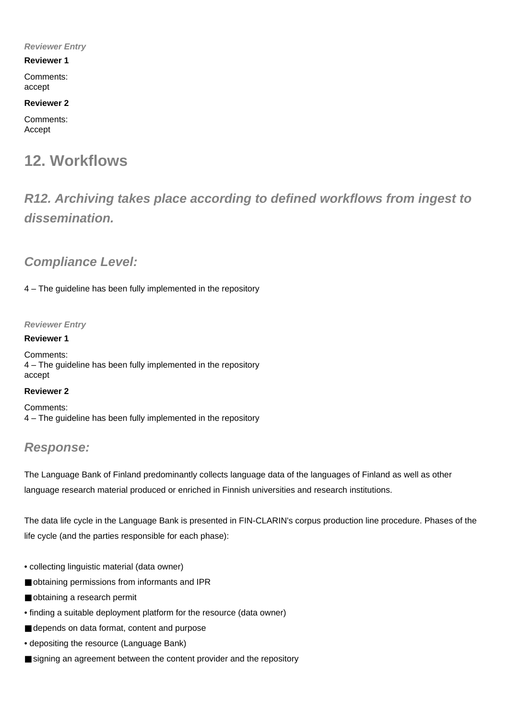#### **Reviewer Entry**

#### **Reviewer 1**

Comments: accept

#### **Reviewer 2**

Comments: Accept

## **12. Workflows**

# **R12. Archiving takes place according to defined workflows from ingest to dissemination.**

## **Compliance Level:**

4 – The guideline has been fully implemented in the repository

#### **Reviewer Entry**

#### **Reviewer 1**

Comments: 4 – The guideline has been fully implemented in the repository accept

#### **Reviewer 2**

Comments: 4 – The guideline has been fully implemented in the repository

## **Response:**

The Language Bank of Finland predominantly collects language data of the languages of Finland as well as other language research material produced or enriched in Finnish universities and research institutions.

The data life cycle in the Language Bank is presented in FIN-CLARIN's corpus production line procedure. Phases of the life cycle (and the parties responsible for each phase):

- collecting linguistic material (data owner)
- obtaining permissions from informants and IPR
- obtaining a research permit
- finding a suitable deployment platform for the resource (data owner)
- depends on data format, content and purpose
- depositing the resource (Language Bank)
- signing an agreement between the content provider and the repository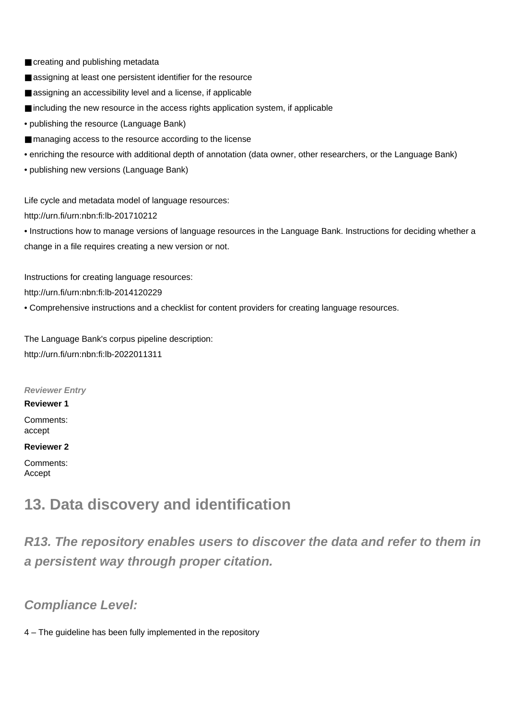- creating and publishing metadata
- assigning at least one persistent identifier for the resource
- assigning an accessibility level and a license, if applicable
- including the new resource in the access rights application system, if applicable
- publishing the resource (Language Bank)
- managing access to the resource according to the license
- enriching the resource with additional depth of annotation (data owner, other researchers, or the Language Bank)
- publishing new versions (Language Bank)

Life cycle and metadata model of language resources: <http://urn.fi/urn:nbn:fi:lb-201710212>

• Instructions how to manage versions of language resources in the Language Bank. Instructions for deciding whether a change in a file requires creating a new version or not.

Instructions for creating language resources:

#### <http://urn.fi/urn:nbn:fi:lb-2014120229>

• Comprehensive instructions and a checklist for content providers for creating language resources.

The Language Bank's corpus pipeline description: <http://urn.fi/urn:nbn:fi:lb-2022011311>

**Reviewer Entry**

#### **Reviewer 1**

Comments: accept

#### **Reviewer 2**

Comments: Accept

## **13. Data discovery and identification**

**R13. The repository enables users to discover the data and refer to them in a persistent way through proper citation.**

## **Compliance Level:**

4 – The guideline has been fully implemented in the repository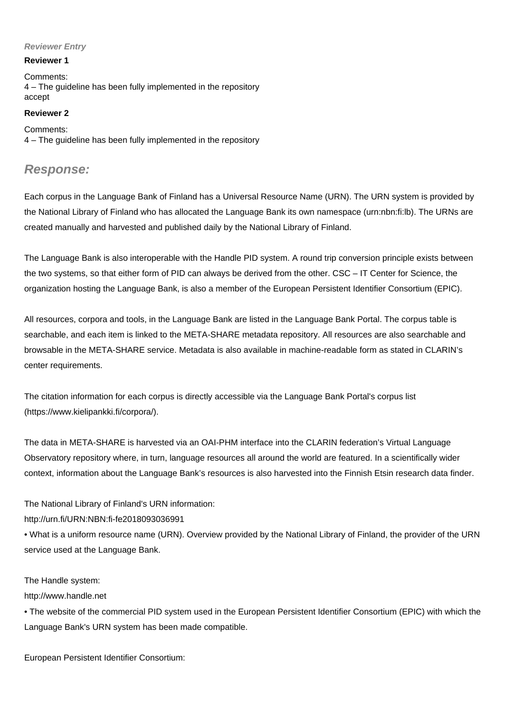#### **Reviewer Entry**

#### **Reviewer 1**

Comments: 4 – The guideline has been fully implemented in the repository accept

#### **Reviewer 2**

Comments: 4 – The guideline has been fully implemented in the repository

### **Response:**

Each corpus in the Language Bank of Finland has a Universal Resource Name (URN). The URN system is provided by the National Library of Finland who has allocated the Language Bank its own namespace (urn:nbn:fi:lb). The URNs are created manually and harvested and published daily by the National Library of Finland.

The Language Bank is also interoperable with the Handle PID system. A round trip conversion principle exists between the two systems, so that either form of PID can always be derived from the other. CSC – IT Center for Science, the organization hosting the Language Bank, is also a member of the European Persistent Identifier Consortium (EPIC).

All resources, corpora and tools, in the Language Bank are listed in the Language Bank Portal. The corpus table is searchable, and each item is linked to the META-SHARE metadata repository. All resources are also searchable and browsable in the META-SHARE service. Metadata is also available in machine-readable form as stated in CLARIN's center requirements.

The citation information for each corpus is directly accessible via the Language Bank Portal's corpus list (<https://www.kielipankki.fi/corpora/>).

The data in META-SHARE is harvested via an OAI-PHM interface into the CLARIN federation's Virtual Language Observatory repository where, in turn, language resources all around the world are featured. In a scientifically wider context, information about the Language Bank's resources is also harvested into the Finnish Etsin research data finder.

The National Library of Finland's URN information:

#### <http://urn.fi/URN:NBN:fi-fe2018093036991>

• What is a uniform resource name (URN). Overview provided by the National Library of Finland, the provider of the URN service used at the Language Bank.

#### The Handle system:

<http://www.handle.net>

• The website of the commercial PID system used in the European Persistent Identifier Consortium (EPIC) with which the Language Bank's URN system has been made compatible.

European Persistent Identifier Consortium: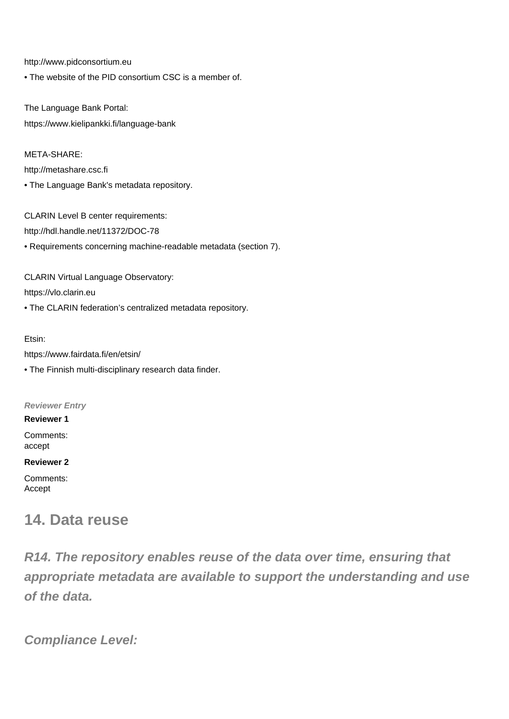<http://www.pidconsortium.eu>

• The website of the PID consortium CSC is a member of.

The Language Bank Portal: <https://www.kielipankki.fi/language-bank>

META-SHARE:

<http://metashare.csc.fi>

• The Language Bank's metadata repository.

CLARIN Level B center requirements:

<http://hdl.handle.net/11372/DOC-78>

• Requirements concerning machine-readable metadata (section 7).

CLARIN Virtual Language Observatory:

<https://vlo.clarin.eu>

• The CLARIN federation's centralized metadata repository.

#### Etsin:

<https://www.fairdata.fi/en/etsin/>

• The Finnish multi-disciplinary research data finder.

#### **Reviewer Entry**

#### **Reviewer 1**

Comments: accept

**Reviewer 2**

Comments: Accept

## **14. Data reuse**

**R14. The repository enables reuse of the data over time, ensuring that appropriate metadata are available to support the understanding and use of the data.**

**Compliance Level:**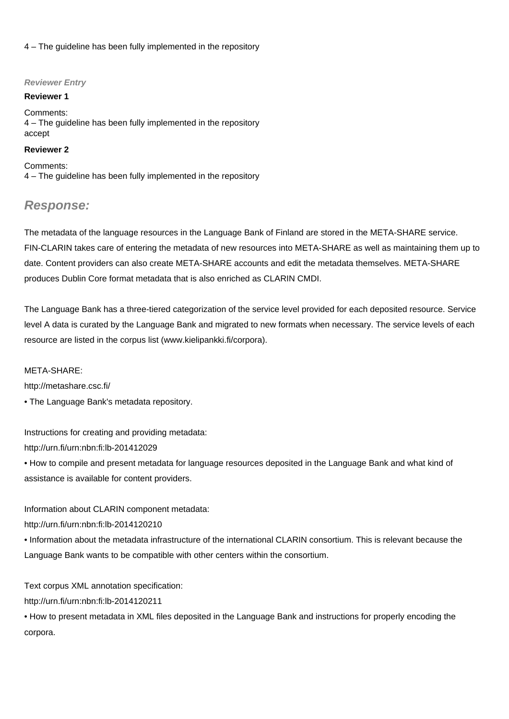4 – The guideline has been fully implemented in the repository

#### **Reviewer Entry**

#### **Reviewer 1**

Comments: 4 – The guideline has been fully implemented in the repository accept

### **Reviewer 2**

Comments: 4 – The guideline has been fully implemented in the repository

### **Response:**

The metadata of the language resources in the Language Bank of Finland are stored in the META-SHARE service. FIN-CLARIN takes care of entering the metadata of new resources into META-SHARE as well as maintaining them up to date. Content providers can also create META-SHARE accounts and edit the metadata themselves. META-SHARE produces Dublin Core format metadata that is also enriched as CLARIN CMDI.

The Language Bank has a three-tiered categorization of the service level provided for each deposited resource. Service level A data is curated by the Language Bank and migrated to new formats when necessary. The service levels of each resource are listed in the corpus list (www.kielipankki.fi/corpora).

META-SHARE:

<http://metashare.csc.fi/>

• The Language Bank's metadata repository.

Instructions for creating and providing metadata: <http://urn.fi/urn:nbn:fi:lb-201412029>

• How to compile and present metadata for language resources deposited in the Language Bank and what kind of assistance is available for content providers.

Information about CLARIN component metadata:

<http://urn.fi/urn:nbn:fi:lb-2014120210>

• Information about the metadata infrastructure of the international CLARIN consortium. This is relevant because the Language Bank wants to be compatible with other centers within the consortium.

Text corpus XML annotation specification:

<http://urn.fi/urn:nbn:fi:lb-2014120211>

• How to present metadata in XML files deposited in the Language Bank and instructions for properly encoding the corpora.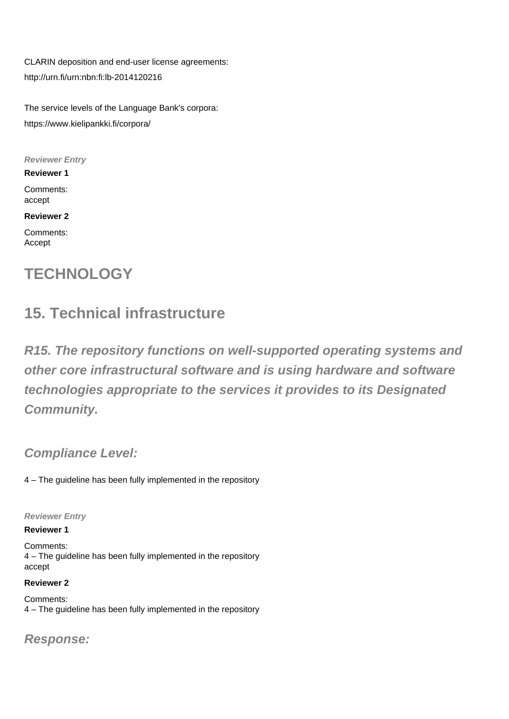CLARIN deposition and end-user license agreements: <http://urn.fi/urn:nbn:fi:lb-2014120216>

The service levels of the Language Bank's corpora: <https://www.kielipankki.fi/corpora/>

**Reviewer Entry**

Comments: accept

**Reviewer 1**

**Reviewer 2**

Comments: Accept

# **TECHNOLOGY**

# **15. Technical infrastructure**

**R15. The repository functions on well-supported operating systems and other core infrastructural software and is using hardware and software technologies appropriate to the services it provides to its Designated Community.**

## **Compliance Level:**

4 – The guideline has been fully implemented in the repository

**Reviewer Entry**

#### **Reviewer 1**

Comments: 4 – The guideline has been fully implemented in the repository accept

#### **Reviewer 2**

Comments: 4 – The guideline has been fully implemented in the repository

**Response:**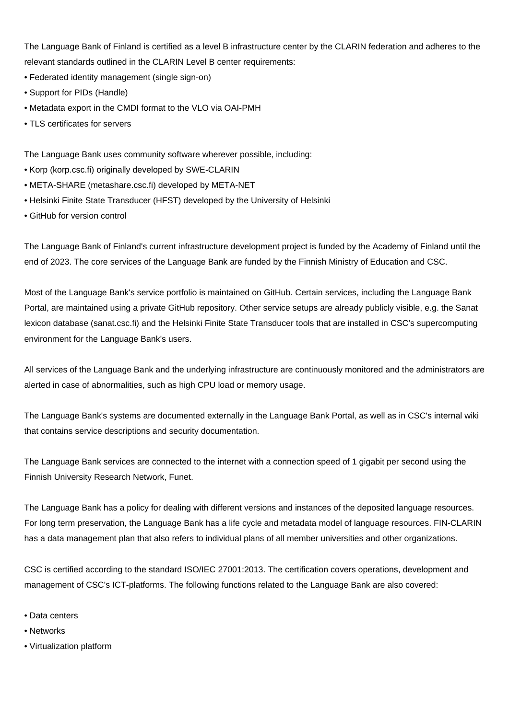The Language Bank of Finland is certified as a level B infrastructure center by the CLARIN federation and adheres to the relevant standards outlined in the CLARIN Level B center requirements:

- Federated identity management (single sign-on)
- Support for PIDs (Handle)
- Metadata export in the CMDI format to the VLO via OAI-PMH
- TLS certificates for servers

The Language Bank uses community software wherever possible, including:

- Korp (korp.csc.fi) originally developed by SWE-CLARIN
- META-SHARE (metashare.csc.fi) developed by META-NET
- Helsinki Finite State Transducer (HFST) developed by the University of Helsinki
- GitHub for version control

The Language Bank of Finland's current infrastructure development project is funded by the Academy of Finland until the end of 2023. The core services of the Language Bank are funded by the Finnish Ministry of Education and CSC.

Most of the Language Bank's service portfolio is maintained on GitHub. Certain services, including the Language Bank Portal, are maintained using a private GitHub repository. Other service setups are already publicly visible, e.g. the Sanat lexicon database (sanat.csc.fi) and the Helsinki Finite State Transducer tools that are installed in CSC's supercomputing environment for the Language Bank's users.

All services of the Language Bank and the underlying infrastructure are continuously monitored and the administrators are alerted in case of abnormalities, such as high CPU load or memory usage.

The Language Bank's systems are documented externally in the Language Bank Portal, as well as in CSC's internal wiki that contains service descriptions and security documentation.

The Language Bank services are connected to the internet with a connection speed of 1 gigabit per second using the Finnish University Research Network, Funet.

The Language Bank has a policy for dealing with different versions and instances of the deposited language resources. For long term preservation, the Language Bank has a life cycle and metadata model of language resources. FIN-CLARIN has a data management plan that also refers to individual plans of all member universities and other organizations.

CSC is certified according to the standard ISO/IEC 27001:2013. The certification covers operations, development and management of CSC's ICT-platforms. The following functions related to the Language Bank are also covered:

- Data centers
- Networks
- Virtualization platform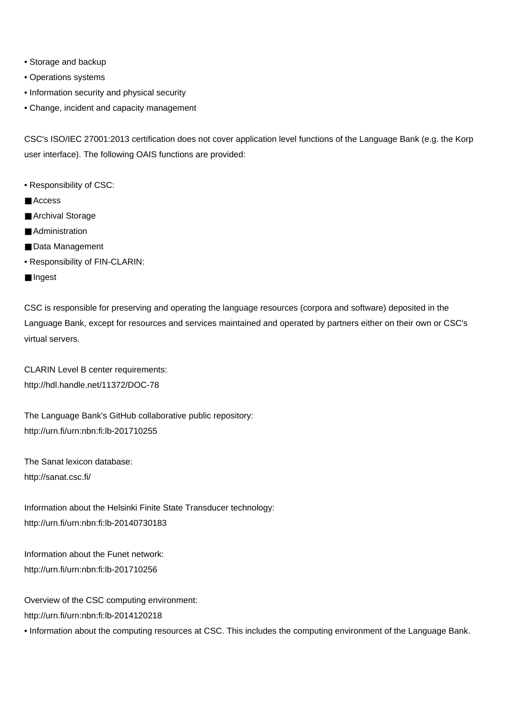- Storage and backup
- Operations systems
- Information security and physical security
- Change, incident and capacity management

CSC's ISO/IEC 27001:2013 certification does not cover application level functions of the Language Bank (e.g. the Korp user interface). The following OAIS functions are provided:

- Responsibility of CSC:
- Access
- Archival Storage
- Administration
- Data Management
- Responsibility of FIN-CLARIN:
- Ingest

CSC is responsible for preserving and operating the language resources (corpora and software) deposited in the Language Bank, except for resources and services maintained and operated by partners either on their own or CSC's virtual servers.

CLARIN Level B center requirements: <http://hdl.handle.net/11372/DOC-78>

The Language Bank's GitHub collaborative public repository: <http://urn.fi/urn:nbn:fi:lb-201710255>

The Sanat lexicon database: <http://sanat.csc.fi/>

Information about the Helsinki Finite State Transducer technology: <http://urn.fi/urn:nbn:fi:lb-20140730183>

Information about the Funet network: <http://urn.fi/urn:nbn:fi:lb-201710256>

Overview of the CSC computing environment:

<http://urn.fi/urn:nbn:fi:lb-2014120218>

• Information about the computing resources at CSC. This includes the computing environment of the Language Bank.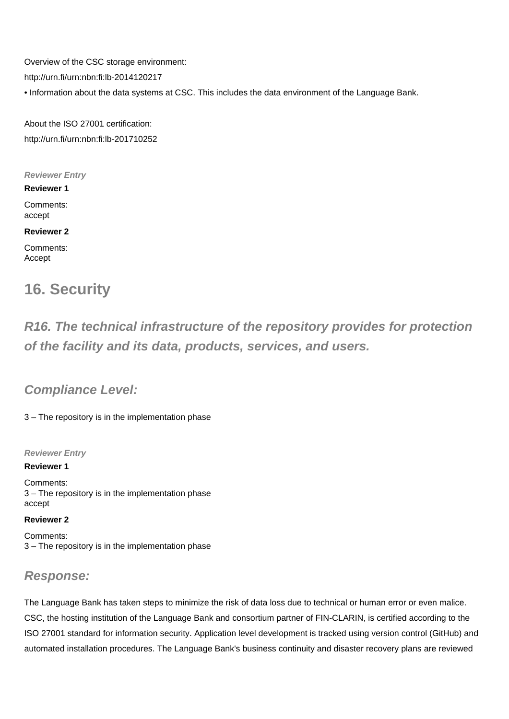Overview of the CSC storage environment: <http://urn.fi/urn:nbn:fi:lb-2014120217> • Information about the data systems at CSC. This includes the data environment of the Language Bank.

About the ISO 27001 certification: <http://urn.fi/urn:nbn:fi:lb-201710252>

**Reviewer Entry**

**Reviewer 1** Comments: accept

**Reviewer 2**

Comments: Accept

# **16. Security**

**R16. The technical infrastructure of the repository provides for protection of the facility and its data, products, services, and users.**

## **Compliance Level:**

3 – The repository is in the implementation phase

#### **Reviewer Entry**

#### **Reviewer 1**

Comments: 3 – The repository is in the implementation phase accept

#### **Reviewer 2**

Comments: 3 – The repository is in the implementation phase

## **Response:**

The Language Bank has taken steps to minimize the risk of data loss due to technical or human error or even malice. CSC, the hosting institution of the Language Bank and consortium partner of FIN-CLARIN, is certified according to the ISO 27001 standard for information security. Application level development is tracked using version control (GitHub) and automated installation procedures. The Language Bank's business continuity and disaster recovery plans are reviewed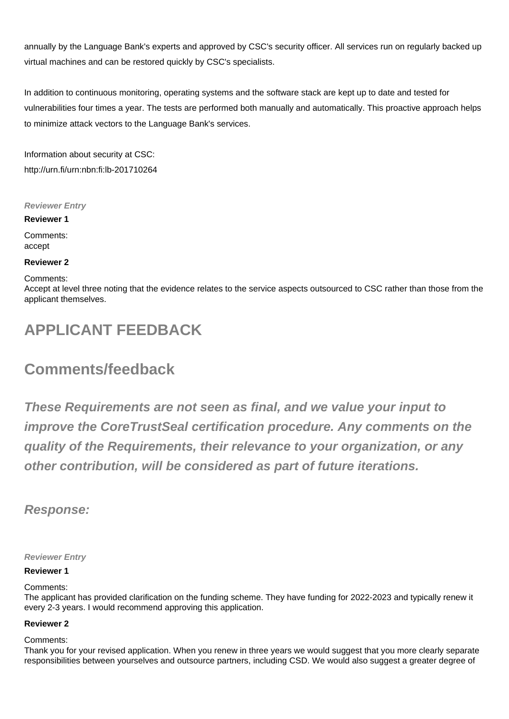annually by the Language Bank's experts and approved by CSC's security officer. All services run on regularly backed up virtual machines and can be restored quickly by CSC's specialists.

In addition to continuous monitoring, operating systems and the software stack are kept up to date and tested for vulnerabilities four times a year. The tests are performed both manually and automatically. This proactive approach helps to minimize attack vectors to the Language Bank's services.

Information about security at CSC: <http://urn.fi/urn:nbn:fi:lb-201710264>

#### **Reviewer Entry**

**Reviewer 1** Comments:

#### accept **Reviewer 2**

Comments:

Accept at level three noting that the evidence relates to the service aspects outsourced to CSC rather than those from the applicant themselves.

# **APPLICANT FEEDBACK**

# **Comments/feedback**

**These Requirements are not seen as final, and we value your input to improve the CoreTrustSeal certification procedure. Any comments on the quality of the Requirements, their relevance to your organization, or any other contribution, will be considered as part of future iterations.**

**Response:**

#### **Reviewer Entry**

#### **Reviewer 1**

#### Comments:

The applicant has provided clarification on the funding scheme. They have funding for 2022-2023 and typically renew it every 2-3 years. I would recommend approving this application.

#### **Reviewer 2**

Comments:

Thank you for your revised application. When you renew in three years we would suggest that you more clearly separate responsibilities between yourselves and outsource partners, including CSD. We would also suggest a greater degree of